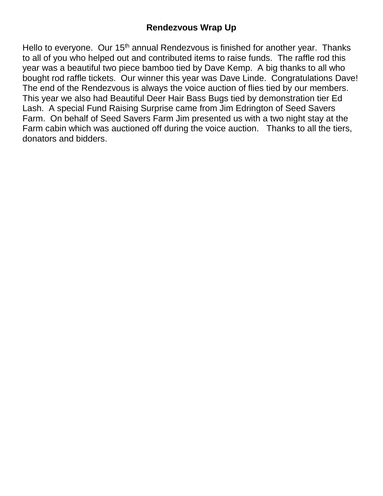Hello to everyone. Our 15<sup>th</sup> annual Rendezvous is finished for another year. Thanks to all of you who helped out and contributed items to raise funds. The raffle rod this year was a beautiful two piece bamboo tied by Dave Kemp. A big thanks to all who bought rod raffle tickets. Our winner this year was Dave Linde. Congratulations Dave! The end of the Rendezvous is always the voice auction of flies tied by our members. This year we also had Beautiful Deer Hair Bass Bugs tied by demonstration tier Ed Lash. A special Fund Raising Surprise came from Jim Edrington of Seed Savers Farm. On behalf of Seed Savers Farm Jim presented us with a two night stay at the Farm cabin which was auctioned off during the voice auction. Thanks to all the tiers, donators and bidders.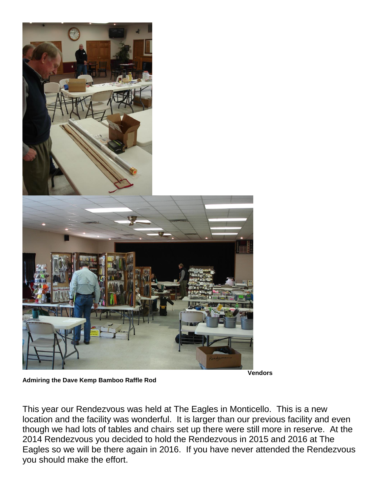

**Vendors** 

**Admiring the Dave Kemp Bamboo Raffle Rod** 

This year our Rendezvous was held at The Eagles in Monticello. This is a new location and the facility was wonderful. It is larger than our previous facility and even though we had lots of tables and chairs set up there were still more in reserve. At the 2014 Rendezvous you decided to hold the Rendezvous in 2015 and 2016 at The Eagles so we will be there again in 2016. If you have never attended the Rendezvous you should make the effort.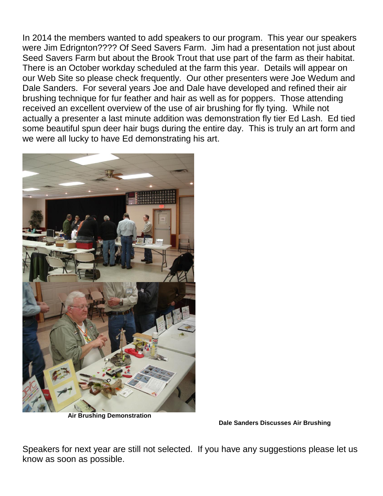In 2014 the members wanted to add speakers to our program. This year our speakers were Jim Edrignton???? Of Seed Savers Farm. Jim had a presentation not just about Seed Savers Farm but about the Brook Trout that use part of the farm as their habitat. There is an October workday scheduled at the farm this year. Details will appear on our Web Site so please check frequently. Our other presenters were Joe Wedum and Dale Sanders. For several years Joe and Dale have developed and refined their air brushing technique for fur feather and hair as well as for poppers. Those attending received an excellent overview of the use of air brushing for fly tying. While not actually a presenter a last minute addition was demonstration fly tier Ed Lash. Ed tied some beautiful spun deer hair bugs during the entire day. This is truly an art form and we were all lucky to have Ed demonstrating his art.



 **Air Brushing Demonstration** 

 **Dale Sanders Discusses Air Brushing** 

Speakers for next year are still not selected. If you have any suggestions please let us know as soon as possible.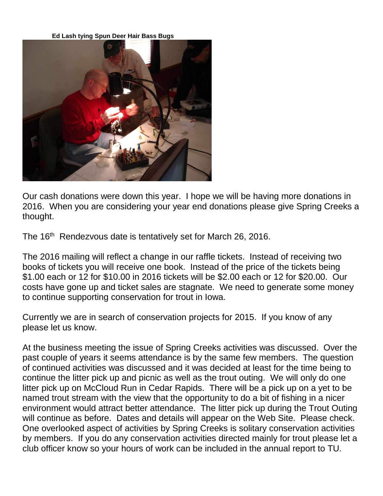**Ed Lash tying Spun Deer Hair Bass Bugs** 



Our cash donations were down this year. I hope we will be having more donations in 2016. When you are considering your year end donations please give Spring Creeks a thought.

The 16<sup>th</sup> Rendezvous date is tentatively set for March 26, 2016.

The 2016 mailing will reflect a change in our raffle tickets. Instead of receiving two books of tickets you will receive one book. Instead of the price of the tickets being \$1.00 each or 12 for \$10.00 in 2016 tickets will be \$2.00 each or 12 for \$20.00. Our costs have gone up and ticket sales are stagnate. We need to generate some money to continue supporting conservation for trout in Iowa.

Currently we are in search of conservation projects for 2015. If you know of any please let us know.

At the business meeting the issue of Spring Creeks activities was discussed. Over the past couple of years it seems attendance is by the same few members. The question of continued activities was discussed and it was decided at least for the time being to continue the litter pick up and picnic as well as the trout outing. We will only do one litter pick up on McCloud Run in Cedar Rapids. There will be a pick up on a yet to be named trout stream with the view that the opportunity to do a bit of fishing in a nicer environment would attract better attendance. The litter pick up during the Trout Outing will continue as before. Dates and details will appear on the Web Site. Please check. One overlooked aspect of activities by Spring Creeks is solitary conservation activities by members. If you do any conservation activities directed mainly for trout please let a club officer know so your hours of work can be included in the annual report to TU.